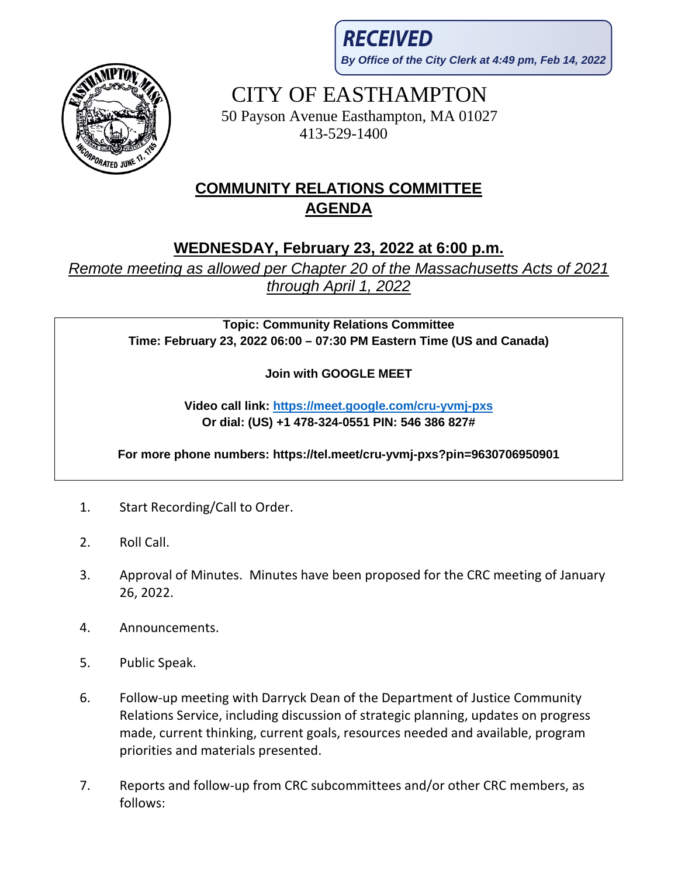**RECEIVED By Office of the City Clerk at 4:49 pm, Feb 14, 2022**



CITY OF EASTHAMPTON 50 Payson Avenue Easthampton, MA 01027

413-529-1400

## **COMMUNITY RELATIONS COMMITTEE AGENDA**

## **WEDNESDAY, February 23, 2022 at 6:00 p.m.**

*Remote meeting as allowed per Chapter 20 of the Massachusetts Acts of 2021 through April 1, 2022*

> **Topic: Community Relations Committee Time: February 23, 2022 06:00 – 07:30 PM Eastern Time (US and Canada)**

> > **Join with GOOGLE MEET**

**Video call link:<https://meet.google.com/cru-yvmj-pxs> Or dial: (US) +1 478-324-0551 PIN: 546 386 827#**

**For more phone numbers: https://tel.meet/cru-yvmj-pxs?pin=9630706950901**

- 1. Start Recording/Call to Order.
- 2. Roll Call.
- 3. Approval of Minutes. Minutes have been proposed for the CRC meeting of January 26, 2022.
- 4. Announcements.
- 5. Public Speak.
- 6. Follow-up meeting with Darryck Dean of the Department of Justice Community Relations Service, including discussion of strategic planning, updates on progress made, current thinking, current goals, resources needed and available, program priorities and materials presented.
- 7. Reports and follow-up from CRC subcommittees and/or other CRC members, as follows: